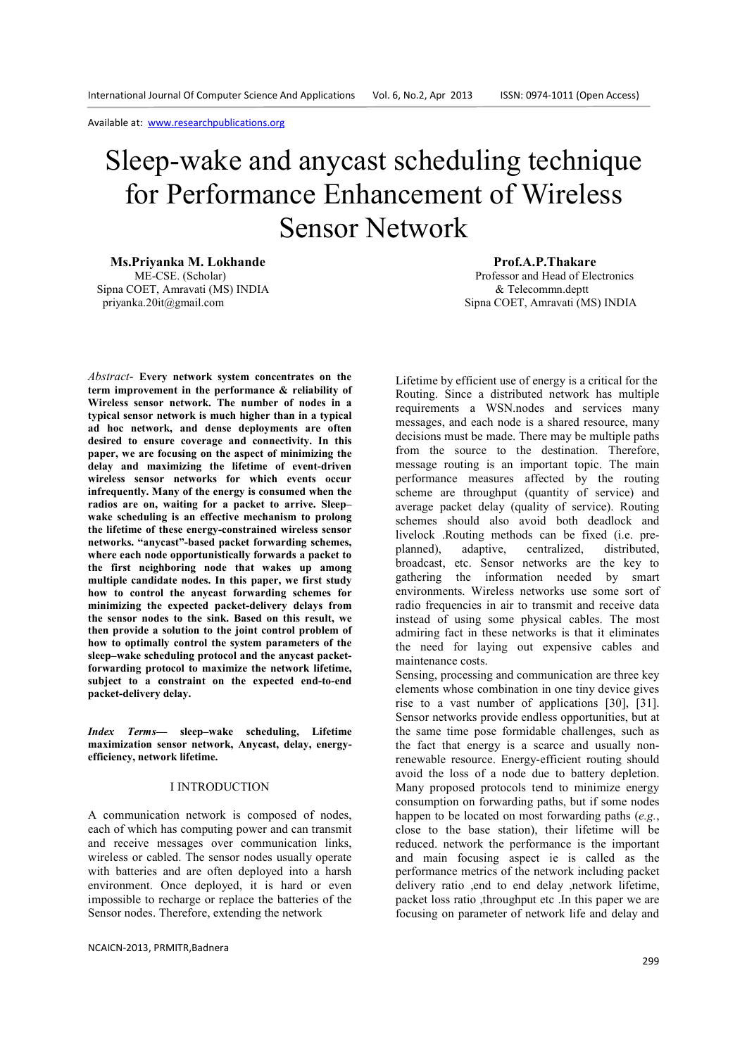# Sleep-wake and anycast scheduling technique for Performance Enhancement of Wireless Sensor Network

**Ms.Priyanka M. Lokhande**<br> **ME-CSE.** (Scholar) **Prof.A.P.Thakare Prof.A.P.Thakare Professor and Head of Ele** Sipna COET, Amravati (MS) INDIA  $\&$  Telecommn.deptt<br>privanka.20it@gmail.com Sipna COET. Amravati (M

*Abstract*- **Every network system concentrates on the term improvement in the performance & reliability of Wireless sensor network. The number of nodes in a typical sensor network is much higher than in a typical ad hoc network, and dense deployments are often desired to ensure coverage and connectivity. In this paper, we are focusing on the aspect of minimizing the delay and maximizing the lifetime of event-driven wireless sensor networks for which events occur infrequently. Many of the energy is consumed when the radios are on, waiting for a packet to arrive. Sleep– wake scheduling is an effective mechanism to prolong the lifetime of these energy-constrained wireless sensor networks. "anycast"-based packet forwarding schemes, where each node opportunistically forwards a packet to the first neighboring node that wakes up among multiple candidate nodes. In this paper, we first study how to control the anycast forwarding schemes for minimizing the expected packet-delivery delays from the sensor nodes to the sink. Based on this result, we then provide a solution to the joint control problem of how to optimally control the system parameters of the sleep–wake scheduling protocol and the anycast packetforwarding protocol to maximize the network lifetime, subject to a constraint on the expected end-to-end packet-delivery delay.** 

*Index Terms—* **sleep–wake scheduling, Lifetime maximization sensor network, Anycast, delay, energyefficiency, network lifetime.** 

#### I INTRODUCTION

A communication network is composed of nodes, each of which has computing power and can transmit and receive messages over communication links, wireless or cabled. The sensor nodes usually operate with batteries and are often deployed into a harsh environment. Once deployed, it is hard or even impossible to recharge or replace the batteries of the Sensor nodes. Therefore, extending the network

NCAICN-2013, PRMITR,Badnera

Professor and Head of Electronics Sipna COET, Amravati (MS) INDIA

Lifetime by efficient use of energy is a critical for the Routing. Since a distributed network has multiple requirements a WSN.nodes and services many messages, and each node is a shared resource, many decisions must be made. There may be multiple paths from the source to the destination. Therefore, message routing is an important topic. The main performance measures affected by the routing scheme are throughput (quantity of service) and average packet delay (quality of service). Routing schemes should also avoid both deadlock and livelock .Routing methods can be fixed (i.e. preplanned), adaptive, centralized, distributed, broadcast, etc. Sensor networks are the key to gathering the information needed by smart environments. Wireless networks use some sort of radio frequencies in air to transmit and receive data instead of using some physical cables. The most admiring fact in these networks is that it eliminates the need for laying out expensive cables and maintenance costs.

Sensing, processing and communication are three key elements whose combination in one tiny device gives rise to a vast number of applications [30], [31]. Sensor networks provide endless opportunities, but at the same time pose formidable challenges, such as the fact that energy is a scarce and usually nonrenewable resource. Energy-efficient routing should avoid the loss of a node due to battery depletion. Many proposed protocols tend to minimize energy consumption on forwarding paths, but if some nodes happen to be located on most forwarding paths (*e.g.*, close to the base station), their lifetime will be reduced. network the performance is the important and main focusing aspect ie is called as the performance metrics of the network including packet delivery ratio ,end to end delay ,network lifetime, packet loss ratio ,throughput etc .In this paper we are focusing on parameter of network life and delay and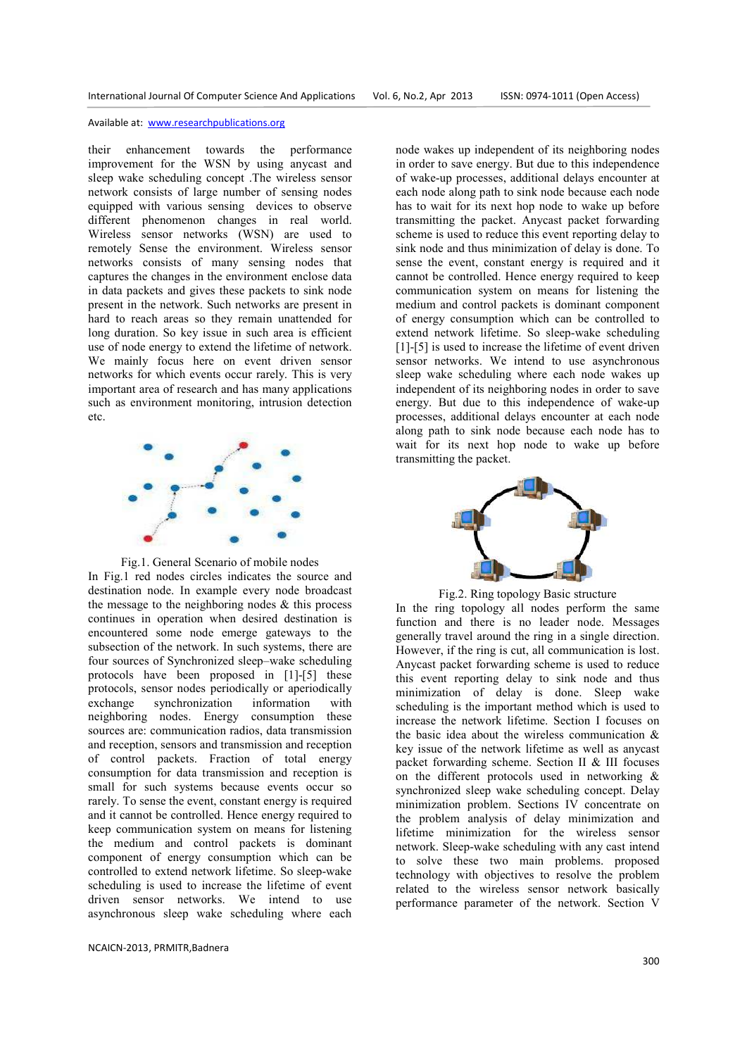their enhancement towards the performance improvement for the WSN by using anycast and sleep wake scheduling concept .The wireless sensor network consists of large number of sensing nodes equipped with various sensing devices to observe different phenomenon changes in real world. Wireless sensor networks (WSN) are used to remotely Sense the environment. Wireless sensor networks consists of many sensing nodes that captures the changes in the environment enclose data in data packets and gives these packets to sink node present in the network. Such networks are present in hard to reach areas so they remain unattended for long duration. So key issue in such area is efficient use of node energy to extend the lifetime of network. We mainly focus here on event driven sensor networks for which events occur rarely. This is very important area of research and has many applications such as environment monitoring, intrusion detection etc.



Fig.1. General Scenario of mobile nodes In Fig.1 red nodes circles indicates the source and destination node. In example every node broadcast the message to the neighboring nodes  $\&$  this process continues in operation when desired destination is encountered some node emerge gateways to the subsection of the network. In such systems, there are four sources of Synchronized sleep–wake scheduling protocols have been proposed in [1]-[5] these protocols, sensor nodes periodically or aperiodically exchange synchronization information with neighboring nodes. Energy consumption these sources are: communication radios, data transmission and reception, sensors and transmission and reception of control packets. Fraction of total energy consumption for data transmission and reception is small for such systems because events occur so rarely. To sense the event, constant energy is required and it cannot be controlled. Hence energy required to keep communication system on means for listening the medium and control packets is dominant component of energy consumption which can be controlled to extend network lifetime. So sleep-wake scheduling is used to increase the lifetime of event driven sensor networks. We intend to use asynchronous sleep wake scheduling where each

NCAICN-2013, PRMITR,Badnera

node wakes up independent of its neighboring nodes in order to save energy. But due to this independence of wake-up processes, additional delays encounter at each node along path to sink node because each node has to wait for its next hop node to wake up before transmitting the packet. Anycast packet forwarding scheme is used to reduce this event reporting delay to sink node and thus minimization of delay is done. To sense the event, constant energy is required and it cannot be controlled. Hence energy required to keep communication system on means for listening the medium and control packets is dominant component of energy consumption which can be controlled to extend network lifetime. So sleep-wake scheduling [1]-[5] is used to increase the lifetime of event driven sensor networks. We intend to use asynchronous sleep wake scheduling where each node wakes up independent of its neighboring nodes in order to save energy. But due to this independence of wake-up processes, additional delays encounter at each node along path to sink node because each node has to wait for its next hop node to wake up before transmitting the packet.



Fig.2. Ring topology Basic structure In the ring topology all nodes perform the same function and there is no leader node. Messages generally travel around the ring in a single direction. However, if the ring is cut, all communication is lost. Anycast packet forwarding scheme is used to reduce this event reporting delay to sink node and thus minimization of delay is done. Sleep wake scheduling is the important method which is used to increase the network lifetime. Section I focuses on the basic idea about the wireless communication  $\&$ key issue of the network lifetime as well as anycast packet forwarding scheme. Section II & III focuses on the different protocols used in networking & synchronized sleep wake scheduling concept. Delay minimization problem. Sections IV concentrate on the problem analysis of delay minimization and lifetime minimization for the wireless sensor network. Sleep-wake scheduling with any cast intend to solve these two main problems. proposed technology with objectives to resolve the problem related to the wireless sensor network basically performance parameter of the network. Section V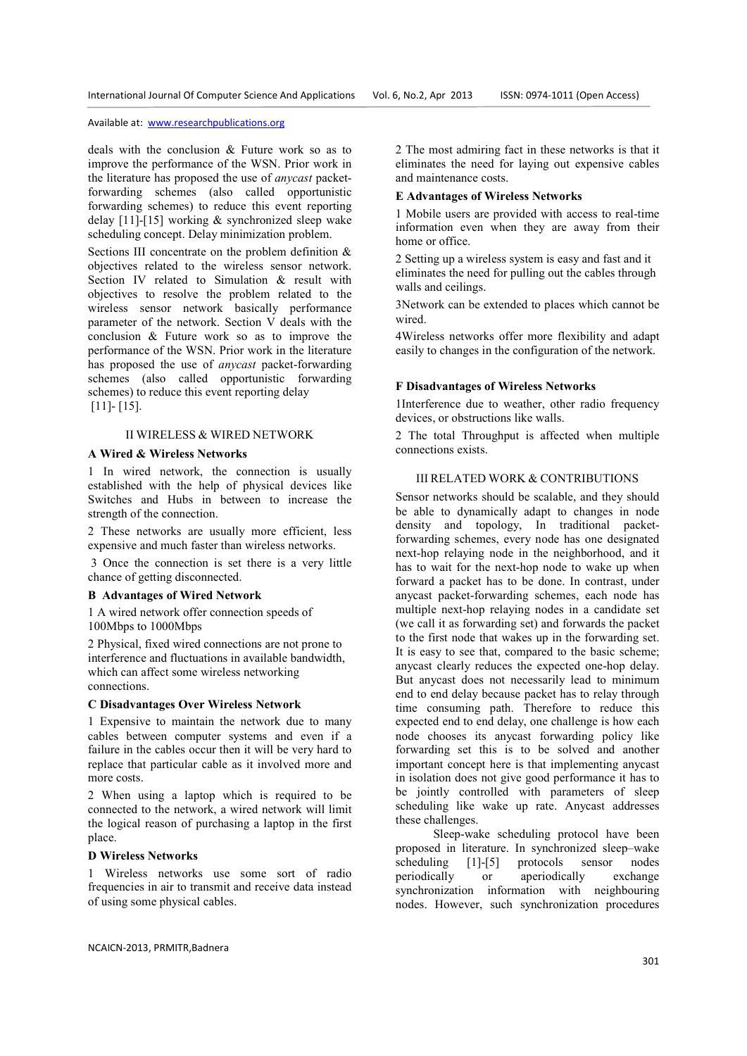deals with the conclusion & Future work so as to improve the performance of the WSN. Prior work in the literature has proposed the use of *anycast* packetforwarding schemes (also called opportunistic forwarding schemes) to reduce this event reporting delay [11]-[15] working & synchronized sleep wake scheduling concept. Delay minimization problem.

Sections III concentrate on the problem definition  $\&$ objectives related to the wireless sensor network. Section IV related to Simulation & result with objectives to resolve the problem related to the wireless sensor network basically performance parameter of the network. Section V deals with the conclusion & Future work so as to improve the performance of the WSN. Prior work in the literature has proposed the use of *anycast* packet-forwarding schemes (also called opportunistic forwarding schemes) to reduce this event reporting delay [11]- [15].

# II WIRELESS & WIRED NETWORK

## **A Wired & Wireless Networks**

1 In wired network, the connection is usually established with the help of physical devices like Switches and Hubs in between to increase the strength of the connection.

2 These networks are usually more efficient, less expensive and much faster than wireless networks.

 3 Once the connection is set there is a very little chance of getting disconnected.

#### **B Advantages of Wired Network**

1 A wired network offer connection speeds of 100Mbps to 1000Mbps

2 Physical, fixed wired connections are not prone to interference and fluctuations in available bandwidth, which can affect some wireless networking connections.

## **C Disadvantages Over Wireless Network**

1 Expensive to maintain the network due to many cables between computer systems and even if a failure in the cables occur then it will be very hard to replace that particular cable as it involved more and more costs.

2 When using a laptop which is required to be connected to the network, a wired network will limit the logical reason of purchasing a laptop in the first place.

#### **D Wireless Networks**

1 Wireless networks use some sort of radio frequencies in air to transmit and receive data instead of using some physical cables.

2 The most admiring fact in these networks is that it eliminates the need for laying out expensive cables and maintenance costs.

#### **E Advantages of Wireless Networks**

1 Mobile users are provided with access to real-time information even when they are away from their home or office.

2 Setting up a wireless system is easy and fast and it eliminates the need for pulling out the cables through walls and ceilings.

3Network can be extended to places which cannot be wired.

4Wireless networks offer more flexibility and adapt easily to changes in the configuration of the network.

#### **F Disadvantages of Wireless Networks**

1Interference due to weather, other radio frequency devices, or obstructions like walls.

2 The total Throughput is affected when multiple connections exists.

#### III RELATED WORK & CONTRIBUTIONS

Sensor networks should be scalable, and they should be able to dynamically adapt to changes in node density and topology, In traditional packetforwarding schemes, every node has one designated next-hop relaying node in the neighborhood, and it has to wait for the next-hop node to wake up when forward a packet has to be done. In contrast, under anycast packet-forwarding schemes, each node has multiple next-hop relaying nodes in a candidate set (we call it as forwarding set) and forwards the packet to the first node that wakes up in the forwarding set. It is easy to see that, compared to the basic scheme; anycast clearly reduces the expected one-hop delay. But anycast does not necessarily lead to minimum end to end delay because packet has to relay through time consuming path. Therefore to reduce this expected end to end delay, one challenge is how each node chooses its anycast forwarding policy like forwarding set this is to be solved and another important concept here is that implementing anycast in isolation does not give good performance it has to be jointly controlled with parameters of sleep scheduling like wake up rate. Anycast addresses these challenges.

 Sleep-wake scheduling protocol have been proposed in literature. In synchronized sleep–wake scheduling [1]-[5] protocols sensor nodes periodically or aperiodically exchange synchronization information with neighbouring nodes. However, such synchronization procedures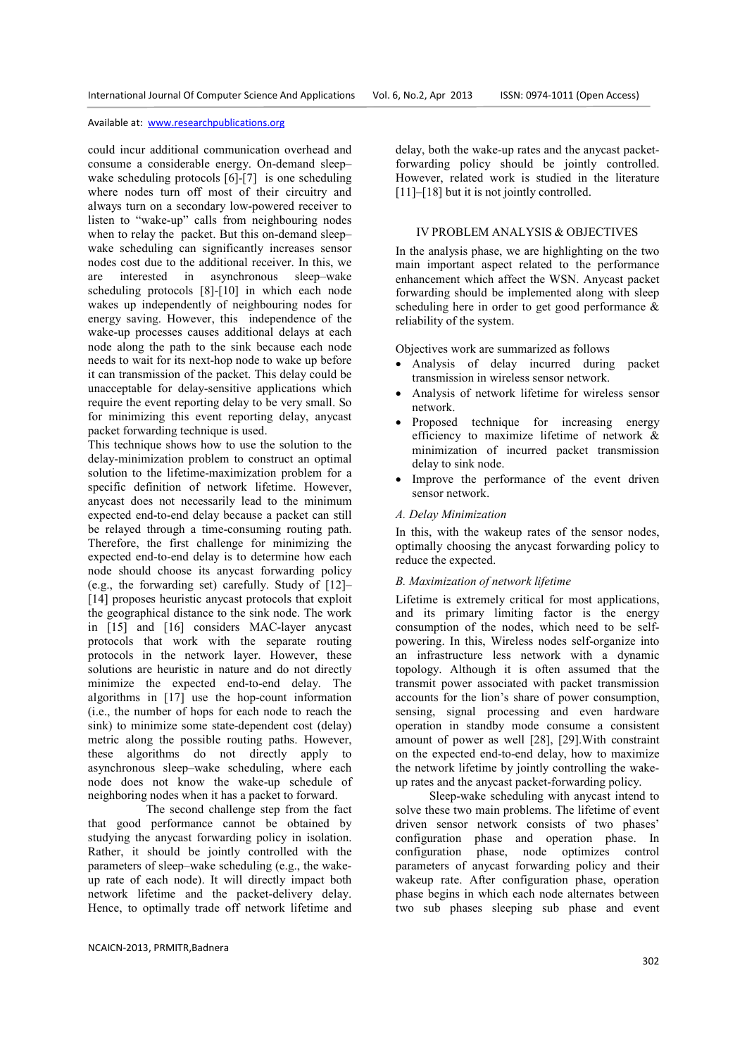could incur additional communication overhead and consume a considerable energy. On-demand sleep– wake scheduling protocols [6]-[7] is one scheduling where nodes turn off most of their circuitry and always turn on a secondary low-powered receiver to listen to "wake-up" calls from neighbouring nodes when to relay the packet. But this on-demand sleep– wake scheduling can significantly increases sensor nodes cost due to the additional receiver. In this, we are interested in asynchronous sleep–wake scheduling protocols [8]-[10] in which each node wakes up independently of neighbouring nodes for energy saving. However, this independence of the wake-up processes causes additional delays at each node along the path to the sink because each node needs to wait for its next-hop node to wake up before it can transmission of the packet. This delay could be unacceptable for delay-sensitive applications which require the event reporting delay to be very small. So for minimizing this event reporting delay, anycast packet forwarding technique is used.

This technique shows how to use the solution to the delay-minimization problem to construct an optimal solution to the lifetime-maximization problem for a specific definition of network lifetime. However, anycast does not necessarily lead to the minimum expected end-to-end delay because a packet can still be relayed through a time-consuming routing path. Therefore, the first challenge for minimizing the expected end-to-end delay is to determine how each node should choose its anycast forwarding policy (e.g., the forwarding set) carefully. Study of [12]– [14] proposes heuristic anycast protocols that exploit the geographical distance to the sink node. The work in [15] and [16] considers MAC-layer anycast protocols that work with the separate routing protocols in the network layer. However, these solutions are heuristic in nature and do not directly minimize the expected end-to-end delay. The algorithms in [17] use the hop-count information (i.e., the number of hops for each node to reach the sink) to minimize some state-dependent cost (delay) metric along the possible routing paths. However, these algorithms do not directly apply to asynchronous sleep–wake scheduling, where each node does not know the wake-up schedule of neighboring nodes when it has a packet to forward.

 The second challenge step from the fact that good performance cannot be obtained by studying the anycast forwarding policy in isolation. Rather, it should be jointly controlled with the parameters of sleep–wake scheduling (e.g., the wakeup rate of each node). It will directly impact both network lifetime and the packet-delivery delay. Hence, to optimally trade off network lifetime and

delay, both the wake-up rates and the anycast packetforwarding policy should be jointly controlled. However, related work is studied in the literature [11]–[18] but it is not jointly controlled.

#### IV PROBLEM ANALYSIS & OBJECTIVES

In the analysis phase, we are highlighting on the two main important aspect related to the performance enhancement which affect the WSN. Anycast packet forwarding should be implemented along with sleep scheduling here in order to get good performance & reliability of the system.

Objectives work are summarized as follows

- Analysis of delay incurred during packet transmission in wireless sensor network.
- Analysis of network lifetime for wireless sensor network.
- Proposed technique for increasing energy efficiency to maximize lifetime of network & minimization of incurred packet transmission delay to sink node.
- Improve the performance of the event driven sensor network.

# *A. Delay Minimization*

In this, with the wakeup rates of the sensor nodes, optimally choosing the anycast forwarding policy to reduce the expected.

# *B. Maximization of network lifetime*

Lifetime is extremely critical for most applications, and its primary limiting factor is the energy consumption of the nodes, which need to be selfpowering. In this, Wireless nodes self-organize into an infrastructure less network with a dynamic topology. Although it is often assumed that the transmit power associated with packet transmission accounts for the lion's share of power consumption, sensing, signal processing and even hardware operation in standby mode consume a consistent amount of power as well [28], [29].With constraint on the expected end-to-end delay, how to maximize the network lifetime by jointly controlling the wakeup rates and the anycast packet-forwarding policy.

 Sleep-wake scheduling with anycast intend to solve these two main problems. The lifetime of event driven sensor network consists of two phases' configuration phase and operation phase. In configuration phase, node optimizes control parameters of anycast forwarding policy and their wakeup rate. After configuration phase, operation phase begins in which each node alternates between two sub phases sleeping sub phase and event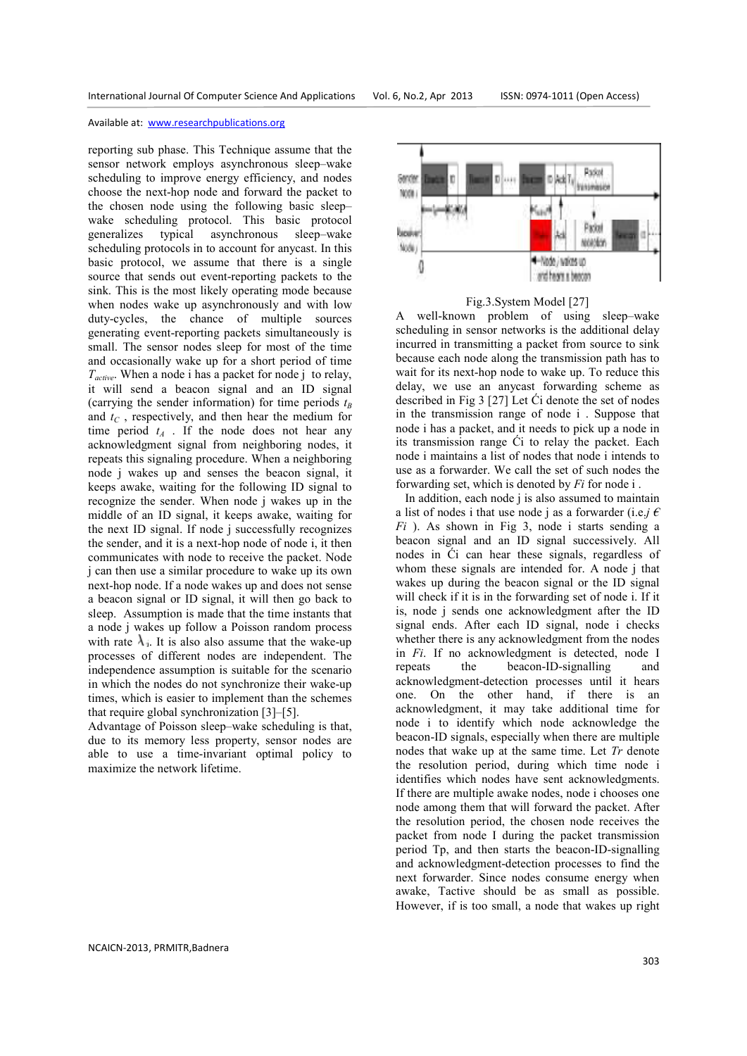reporting sub phase. This Technique assume that the sensor network employs asynchronous sleep–wake scheduling to improve energy efficiency, and nodes choose the next-hop node and forward the packet to the chosen node using the following basic sleep– wake scheduling protocol. This basic protocol generalizes typical asynchronous sleep–wake scheduling protocols in to account for anycast. In this basic protocol, we assume that there is a single source that sends out event-reporting packets to the sink. This is the most likely operating mode because when nodes wake up asynchronously and with low duty-cycles, the chance of multiple sources generating event-reporting packets simultaneously is small. The sensor nodes sleep for most of the time and occasionally wake up for a short period of time *Tactive*. When a node i has a packet for node j to relay, it will send a beacon signal and an ID signal (carrying the sender information) for time periods *t<sup>B</sup>* and *tC* , respectively, and then hear the medium for time period  $t_A$ . If the node does not hear any acknowledgment signal from neighboring nodes, it repeats this signaling procedure. When a neighboring node j wakes up and senses the beacon signal, it keeps awake, waiting for the following ID signal to recognize the sender. When node j wakes up in the middle of an ID signal, it keeps awake, waiting for the next ID signal. If node j successfully recognizes the sender, and it is a next-hop node of node i, it then communicates with node to receive the packet. Node j can then use a similar procedure to wake up its own next-hop node. If a node wakes up and does not sense a beacon signal or ID signal, it will then go back to sleep. Assumption is made that the time instants that a node j wakes up follow a Poisson random process with rate  $\lambda_i$ . It is also also assume that the wake-up processes of different nodes are independent. The independence assumption is suitable for the scenario in which the nodes do not synchronize their wake-up times, which is easier to implement than the schemes that require global synchronization [3]–[5].

Advantage of Poisson sleep–wake scheduling is that, due to its memory less property, sensor nodes are able to use a time-invariant optimal policy to maximize the network lifetime.





A well-known problem of using sleep–wake scheduling in sensor networks is the additional delay incurred in transmitting a packet from source to sink because each node along the transmission path has to wait for its next-hop node to wake up. To reduce this delay, we use an anycast forwarding scheme as described in Fig 3 [27] Let Ći denote the set of nodes in the transmission range of node i . Suppose that node i has a packet, and it needs to pick up a node in its transmission range Ći to relay the packet. Each node i maintains a list of nodes that node i intends to use as a forwarder. We call the set of such nodes the forwarding set, which is denoted by *Fi* for node i .

 In addition, each node j is also assumed to maintain a list of nodes i that use node j as a forwarder (i.e.*j*  $\epsilon$ *Fi* ). As shown in Fig 3, node i starts sending a beacon signal and an ID signal successively. All nodes in Ći can hear these signals, regardless of whom these signals are intended for. A node j that wakes up during the beacon signal or the ID signal will check if it is in the forwarding set of node i. If it is, node j sends one acknowledgment after the ID signal ends. After each ID signal, node i checks whether there is any acknowledgment from the nodes in *Fi*. If no acknowledgment is detected, node I repeats the beacon-ID-signalling and acknowledgment-detection processes until it hears one. On the other hand, if there is an acknowledgment, it may take additional time for node i to identify which node acknowledge the beacon-ID signals, especially when there are multiple nodes that wake up at the same time. Let *Tr* denote the resolution period, during which time node i identifies which nodes have sent acknowledgments. If there are multiple awake nodes, node i chooses one node among them that will forward the packet. After the resolution period, the chosen node receives the packet from node I during the packet transmission period Tp, and then starts the beacon-ID-signalling and acknowledgment-detection processes to find the next forwarder. Since nodes consume energy when awake, Tactive should be as small as possible. However, if is too small, a node that wakes up right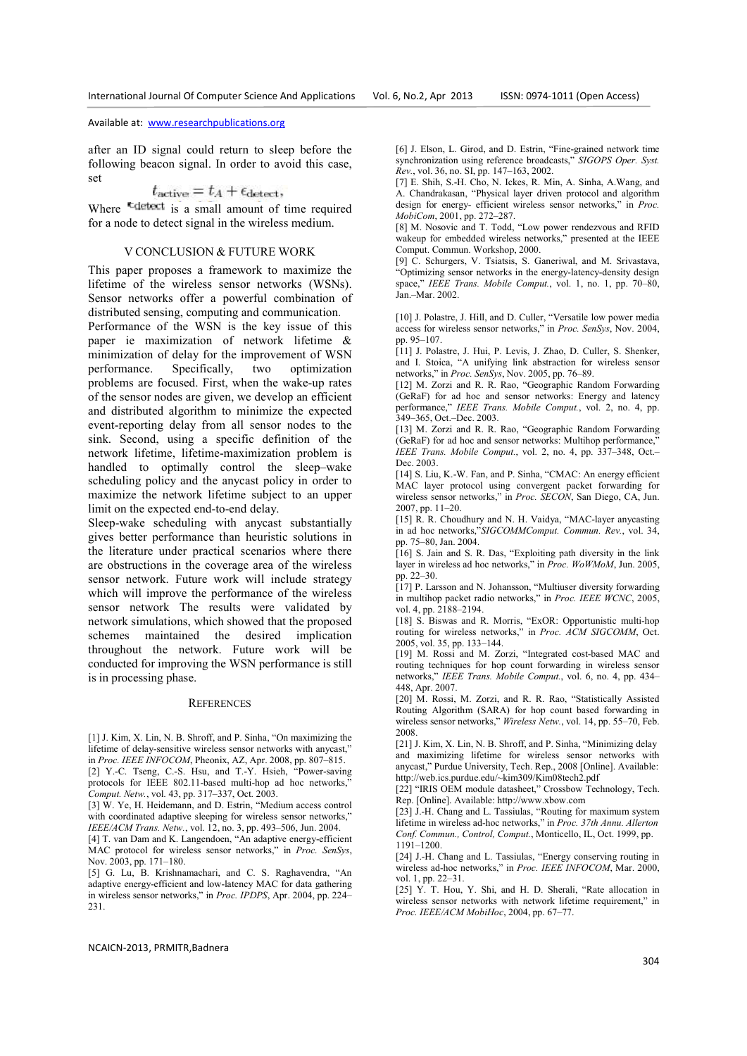after an ID signal could return to sleep before the following beacon signal. In order to avoid this case, set

$$
t_{\rm active}=t_A+\epsilon_{\rm detect},
$$

Where  $\overline{\phantom{a}}$  tends is a small amount of time required for a node to detect signal in the wireless medium.

#### V CONCLUSION & FUTURE WORK

This paper proposes a framework to maximize the lifetime of the wireless sensor networks (WSNs). Sensor networks offer a powerful combination of distributed sensing, computing and communication.

Performance of the WSN is the key issue of this paper ie maximization of network lifetime & minimization of delay for the improvement of WSN performance. Specifically, two optimization problems are focused. First, when the wake-up rates of the sensor nodes are given, we develop an efficient and distributed algorithm to minimize the expected event-reporting delay from all sensor nodes to the sink. Second, using a specific definition of the network lifetime, lifetime-maximization problem is handled to optimally control the sleep–wake scheduling policy and the anycast policy in order to maximize the network lifetime subject to an upper limit on the expected end-to-end delay.

Sleep-wake scheduling with anycast substantially gives better performance than heuristic solutions in the literature under practical scenarios where there are obstructions in the coverage area of the wireless sensor network. Future work will include strategy which will improve the performance of the wireless sensor network The results were validated by network simulations, which showed that the proposed schemes maintained the desired implication throughout the network. Future work will be conducted for improving the WSN performance is still is in processing phase.

#### **REFERENCES**

[1] J. Kim, X. Lin, N. B. Shroff, and P. Sinha, "On maximizing the lifetime of delay-sensitive wireless sensor networks with anycast," in *Proc. IEEE INFOCOM*, Pheonix, AZ, Apr. 2008, pp. 807–815. [2] Y.-C. Tseng, C.-S. Hsu, and T.-Y. Hsieh, "Power-saving protocols for IEEE 802.11-based multi-hop ad hoc networks,

*Comput. Netw.*, vol. 43, pp. 317–337, Oct. 2003.

[3] W. Ye, H. Heidemann, and D. Estrin, "Medium access control with coordinated adaptive sleeping for wireless sensor networks," *IEEE/ACM Trans. Netw.*, vol. 12, no. 3, pp. 493–506, Jun. 2004.

[4] T. van Dam and K. Langendoen, "An adaptive energy-efficient MAC protocol for wireless sensor networks," in *Proc. SenSys*, Nov. 2003, pp. 171–180.

[5] G. Lu, B. Krishnamachari, and C. S. Raghavendra, "An adaptive energy-efficient and low-latency MAC for data gathering in wireless sensor networks," in *Proc. IPDPS*, Apr. 2004, pp. 224– 231.

[6] J. Elson, L. Girod, and D. Estrin, "Fine-grained network time synchronization using reference broadcasts," *SIGOPS Oper. Syst. Rev.*, vol. 36, no. SI, pp. 147–163, 2002.

[7] E. Shih, S.-H. Cho, N. Ickes, R. Min, A. Sinha, A.Wang, and A. Chandrakasan, "Physical layer driven protocol and algorithm design for energy- efficient wireless sensor networks," in *Proc. MobiCom*, 2001, pp. 272–287.

[8] M. Nosovic and T. Todd, "Low power rendezvous and RFID wakeup for embedded wireless networks," presented at the IEEE Comput. Commun. Workshop, 2000.

[9] C. Schurgers, V. Tsiatsis, S. Ganeriwal, and M. Srivastava, "Optimizing sensor networks in the energy-latency-density design space," *IEEE Trans. Mobile Comput.*, vol. 1, no. 1, pp. 70–80, Jan.–Mar. 2002.

[10] J. Polastre, J. Hill, and D. Culler, "Versatile low power media access for wireless sensor networks," in *Proc. SenSys*, Nov. 2004, pp. 95–107.

[11] J. Polastre, J. Hui, P. Levis, J. Zhao, D. Culler, S. Shenker, and I. Stoica, "A unifying link abstraction for wireless sensor networks," in *Proc. SenSys*, Nov. 2005, pp. 76–89.

[12] M. Zorzi and R. R. Rao, "Geographic Random Forwarding (GeRaF) for ad hoc and sensor networks: Energy and latency performance," *IEEE Trans. Mobile Comput.*, vol. 2, no. 4, pp. 349–365, Oct.–Dec. 2003.

[13] M. Zorzi and R. R. Rao, "Geographic Random Forwarding (GeRaF) for ad hoc and sensor networks: Multihop performance, *IEEE Trans. Mobile Comput.*, vol. 2, no. 4, pp. 337–348, Oct.– Dec. 2003.

[14] S. Liu, K.-W. Fan, and P. Sinha, "CMAC: An energy efficient MAC layer protocol using convergent packet forwarding for wireless sensor networks," in *Proc. SECON*, San Diego, CA, Jun. 2007, pp. 11–20.

[15] R. R. Choudhury and N. H. Vaidya, "MAC-layer anycasting in ad hoc networks,"*SIGCOMMComput. Commun. Rev.*, vol. 34, pp. 75–80, Jan. 2004.

[16] S. Jain and S. R. Das, "Exploiting path diversity in the link layer in wireless ad hoc networks," in *Proc. WoWMoM*, Jun. 2005, pp. 22–30.

[17] P. Larsson and N. Johansson, "Multiuser diversity forwarding in multihop packet radio networks," in *Proc. IEEE WCNC*, 2005, vol. 4, pp. 2188–2194.

[18] S. Biswas and R. Morris, "ExOR: Opportunistic multi-hop routing for wireless networks," in *Proc. ACM SIGCOMM*, Oct. 2005, vol. 35, pp. 133–144.

[19] M. Rossi and M. Zorzi, "Integrated cost-based MAC and routing techniques for hop count forwarding in wireless sensor networks," *IEEE Trans. Mobile Comput.*, vol. 6, no. 4, pp. 434– 448, Apr. 2007.

[20] M. Rossi, M. Zorzi, and R. R. Rao, "Statistically Assisted Routing Algorithm (SARA) for hop count based forwarding in wireless sensor networks," *Wireless Netw.*, vol. 14, pp. 55–70, Feb. 2008.

[21] J. Kim, X. Lin, N. B. Shroff, and P. Sinha, "Minimizing delay and maximizing lifetime for wireless sensor networks with anycast," Purdue University, Tech. Rep., 2008 [Online]. Available: http://web.ics.purdue.edu/~kim309/Kim08tech2.pdf

[22] "IRIS OEM module datasheet," Crossbow Technology, Tech. Rep. [Online]. Available: http://www.xbow.com

[23] J.-H. Chang and L. Tassiulas, "Routing for maximum system lifetime in wireless ad-hoc networks," in *Proc. 37th Annu. Allerton Conf. Commun., Control, Comput.*, Monticello, IL, Oct. 1999, pp. 1191–1200.

[24] J.-H. Chang and L. Tassiulas, "Energy conserving routing in wireless ad-hoc networks," in *Proc. IEEE INFOCOM*, Mar. 2000, vol. 1, pp. 22-31.

[25] Y. T. Hou, Y. Shi, and H. D. Sherali, "Rate allocation in wireless sensor networks with network lifetime requirement," in *Proc. IEEE/ACM MobiHoc*, 2004, pp. 67–77.